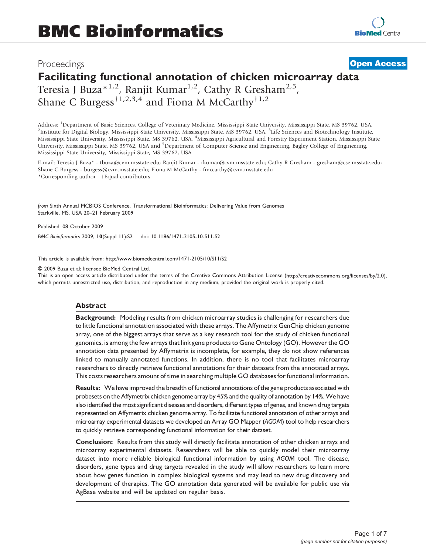**[Open Access](http://www.biomedcentral.com/info/about/charter/)**

# Proceedings

# Facilitating functional annotation of chicken microarray data

Teresia J Buza\*<sup>1,2</sup>, Ranjit Kumar<sup>1,2</sup>, Cathy R Gresham<sup>2,5</sup>, Shane C Burgess<sup>†1,2,3,4</sup> and Fiona M McCarthy<sup>†1,2</sup>

Address: <sup>1</sup>Department of Basic Sciences, College of Veterinary Medicine, Mississippi State University, Mississippi State, MS 39762, USA, <sup>2</sup>Institute for Digital Biology Metitute Institute for Digital Biology, Mississippi State University, Mississippi State, MS 39762, USA, <sup>3</sup>Life Sciences and Biotechnology Institute, Mississippi State University, Mississippi State, MS 39762, USA, <sup>4</sup>Mississippi Agricultural and Forestry Experiment Station, Mississippi State University, Mississippi State, MS 39762, USA and <sup>5</sup>Department of Computer Science and Engineering, Bagley College of Engineering, Mississippi State University, Mississippi State, MS 39762, USA

E-mail: Teresia J Buza\* - [tbuza@cvm.msstate.edu;](mailto:tbuza@cvm.msstate.edu) Ranjit Kumar - [rkumar@cvm.msstate.edu;](mailto:rkumar@cvm.msstate.edu) Cathy R Gresham - [gresham@cse.msstate.edu](mailto:gresham@cse.msstate.edu); Shane C Burgess - [burgess@cvm.msstate.edu;](mailto:burgess@cvm.msstate.edu) Fiona M McCarthy - [fmccarthy@cvm.msstate.edu](mailto:fmccarthy@cvm.msstate.edu) \*Corresponding author †Equal contributors

from Sixth Annual MCBIOS Conference. Transformational Bioinformatics: Delivering Value from Genomes Starkville, MS, USA 20–21 February 2009

Published: 08 October 2009

BMC Bioinformatics 2009, 10(Suppl 11):S2 doi: 10.1186/1471-2105-10-S11-S2

This article is available from: http://www.biomedcentral.com/1471-2105/10/S11/S2

© 2009 Buza et al; licensee BioMed Central Ltd.

This is an open access article distributed under the terms of the Creative Commons Attribution License [\(http://creativecommons.org/licenses/by/2.0\)](http://creativecommons.org/licenses/by/2.0), which permits unrestricted use, distribution, and reproduction in any medium, provided the original work is properly cited.

#### Abstract

Background: Modeling results from chicken microarray studies is challenging for researchers due to little functional annotation associated with these arrays. The Affymetrix GenChip chicken genome array, one of the biggest arrays that serve as a key research tool for the study of chicken functional genomics, is among the few arrays that link gene products to Gene Ontology (GO). However the GO annotation data presented by Affymetrix is incomplete, for example, they do not show references linked to manually annotated functions. In addition, there is no tool that facilitates microarray researchers to directly retrieve functional annotations for their datasets from the annotated arrays. This costs researchers amount of time in searching multiple GO databases for functional information.

Results: We have improved the breadth of functional annotations of the gene products associated with probesets on the Affymetrix chicken genome array by 45% and the quality of annotation by 14%. We have also identified the most significant diseases and disorders, different types of genes, and known drug targets represented on Affymetrix chicken genome array. To facilitate functional annotation of other arrays and microarray experimental datasets we developed an Array GO Mapper (AGOM) tool to help researchers to quickly retrieve corresponding functional information for their dataset.

Conclusion: Results from this study will directly facilitate annotation of other chicken arrays and microarray experimental datasets. Researchers will be able to quickly model their microarray dataset into more reliable biological functional information by using AGOM tool. The disease, disorders, gene types and drug targets revealed in the study will allow researchers to learn more about how genes function in complex biological systems and may lead to new drug discovery and development of therapies. The GO annotation data generated will be available for public use via AgBase website and will be updated on regular basis.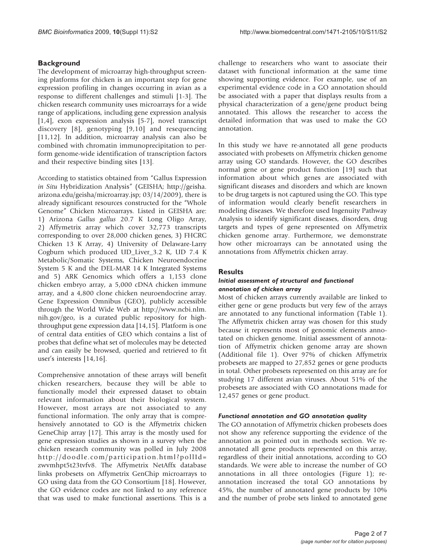## **Background**

The development of microarray high-throughput screening platforms for chicken is an important step for gene expression profiling in changes occurring in avian as a response to different challenges and stimuli [\[1-3\]](#page-6-0). The chicken research community uses microarrays for a wide range of applications, including gene expression analysis [[1](#page-6-0),[4](#page-6-0)], exon expression analysis [[5-7\]](#page-6-0), novel transcript discovery [[8\]](#page-6-0), genotyping [\[9,10\]](#page-6-0) and resequencing [[11,12](#page-6-0)]. In addition, microarray analysis can also be combined with chromatin immunoprecipitation to perform genome-wide identification of transcription factors and their respective binding sites [[13\]](#page-6-0).

According to statistics obtained from "Gallus Expression in Situ Hybridization Analysis" (GEISHA; [http://geisha.](http://geisha.arizona.edu/geisha/microarray.jsp) [arizona.edu/geisha/microarray.jsp;](http://geisha.arizona.edu/geisha/microarray.jsp) 03/14/2009), there is already significant resources constructed for the "Whole Genome" Chicken Microarrays. Listed in GEISHA are: 1) Arizona Gallus gallus 20.7 K Long Oligo Array, 2) Affymetrix array which cover 32,773 transcripts corresponding to over 28,000 chicken genes, 3) FHCRC Chicken 13 K Array, 4) University of Delaware-Larry Cogburn which produced UD\_Liver\_3.2 K, UD 7.4 K Metabolic/Somatic Systems, Chicken Neuroendocrine System 5 K and the DEL-MAR 14 K Integrated Systems and 5) ARK Genomics which offers a 1,153 clone chicken embryo array, a 5,000 cDNA chicken immune array, and a 4,800 clone chicken neuroendocrine array. Gene Expression Omnibus (GEO), publicly accessible through the World Wide Web at [http://www.ncbi.nlm.](http://www.ncbi.nlm.nih.gov/geo) [nih.gov/geo,](http://www.ncbi.nlm.nih.gov/geo) is a curated public repository for highthroughput gene expression data [[14,15](#page-6-0)]. Platform is one of central data entities of GEO which contains a list of probes that define what set of molecules may be detected and can easily be browsed, queried and retrieved to fit user's interests [[14,16](#page-6-0)].

Comprehensive annotation of these arrays will benefit chicken researchers, because they will be able to functionally model their expressed dataset to obtain relevant information about their biological system. However, most arrays are not associated to any functional information. The only array that is comprehensively annotated to GO is the Affymetrix chicken GeneChip array [[17\]](#page-6-0). This array is the mostly used for gene expression studies as shown in a survey when the chicken research community was polled in July 2008 [http://doodle.com/participation.html?pollId=](http://doodle.com/participation.html?pollId=zwvmhpt5t23tvfv8) [zwvmhpt5t23tvfv8.](http://doodle.com/participation.html?pollId=zwvmhpt5t23tvfv8) The Affymetrix NetAffx database links probesets on Affymetrix GenChip microarrays to GO using data from the GO Consortium [[18\]](#page-6-0). However, the GO evidence codes are not linked to any reference that was used to make functional assertions. This is a challenge to researchers who want to associate their dataset with functional information at the same time showing supporting evidence. For example, use of an experimental evidence code in a GO annotation should be associated with a paper that displays results from a physical characterization of a gene/gene product being annotated. This allows the researcher to access the detailed information that was used to make the GO annotation.

In this study we have re-annotated all gene products associated with probesets on Affymetrix chicken genome array using GO standards. However, the GO describes normal gene or gene product function [\[19](#page-6-0)] such that information about which genes are associated with significant diseases and disorders and which are known to be drug targets is not captured using the GO. This type of information would clearly benefit researchers in modeling diseases. We therefore used Ingenuity Pathway Analysis to identify significant diseases, disorders, drug targets and types of gene represented on Affymetrix chicken genome array. Furthermore, we demonstrate how other microarrays can be annotated using the annotations from Affymetrix chicken array.

## **Results**

#### Initial assessment of structural and functional annotation of chicken array

Most of chicken arrays currently available are linked to either gene or gene products but very few of the arrays are annotated to any functional information [\(Table 1\)](#page-2-0). The Affymetrix chicken array was chosen for this study because it represents most of genomic elements annotated on chicken genome. Initial assessment of annotation of Affymetrix chicken genome array are shown (Additional file [1](#page-5-0)). Over 97% of chicken Affymetrix probesets are mapped to 27,852 genes or gene products in total. Other probesets represented on this array are for studying 17 different avian viruses. About 51% of the probesets are associated with GO annotations made for 12,457 genes or gene product.

#### Functional annotation and GO annotation quality

The GO annotation of Affymetrix chicken probesets does not show any reference supporting the evidence of the annotation as pointed out in methods section. We reannotated all gene products represented on this array, regardless of their initial annotations, according to GO standards. We were able to increase the number of GO annotations in all three ontologies [\(Figure 1](#page-2-0)); reannotation increased the total GO annotations by 45%, the number of annotated gene products by 10% and the number of probe sets linked to annotated gene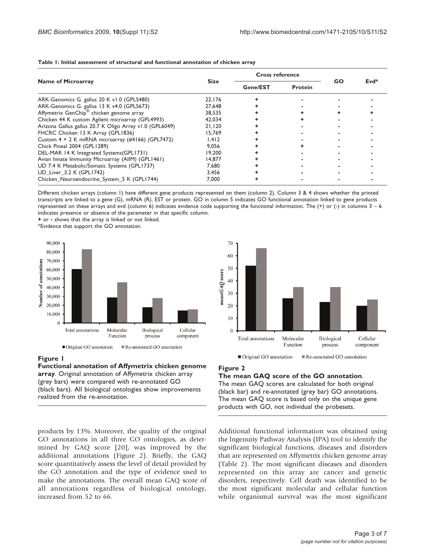| <b>Name of Microarray</b>                               | Size   | <b>Cross reference</b> |                |    |      |
|---------------------------------------------------------|--------|------------------------|----------------|----|------|
|                                                         |        | Gene/EST               | <b>Protein</b> | GO | Evd* |
| ARK-Genomics G. gallus 20 K v1.0 (GPL5480)              | 22.176 |                        |                |    |      |
| ARK-Genomics G. gallus 13 K v4.0 (GPL5673)              | 27,648 |                        |                |    |      |
| Affymetrix GenChip® chicken genome array                | 38.535 |                        |                |    |      |
| Chicken 44 K custom Agilent microarray (GPL4993)        | 42,034 |                        |                |    |      |
| Arizona Gallus gallus 20.7 K Oligo Array v1.0 (GPL6049) | 21,120 |                        |                |    |      |
| FHCRC Chicken 13 K Array (GPL1836)                      | 15.769 |                        |                |    |      |
| Custom 4 × 2 K miRNA microarray (#4166) (GPL7472)       | 1.412  |                        |                |    |      |
| Chick Pineal 2004 (GPL1289)                             | 9.056  |                        |                |    |      |
| DEL-MAR 14 K Integrated Systems(GPL1731)                | 19,200 |                        |                |    |      |
| Avian Innate Immunity Microarray (AIIM) (GPL1461)       | 14.877 |                        |                |    |      |
| UD 7.4 K Metabolic/Somatic Systems (GPL1737)            | 7.680  |                        |                |    |      |
| UD_Liver_3.2 K (GPL1742)                                | 3.456  |                        |                |    |      |
| Chicken_Neuroendocrine_System_5 K (GPL1744)             | 7.000  |                        |                |    |      |

#### <span id="page-2-0"></span>Table 1: Initial assessment of structural and functional annotation of chicken array

Different chicken arrays (column 1) have different gene products represented on them (column 2). Column 3 & 4 shows whether the printed transcripts are linked to a gene (G), mRNA (R), EST or protein. GO in column 5 indicates GO functional annotation linked to gene products represented on these arrays and evd (column 6) indicates evidence code supporting the functional information. The (+) or (-) in columns 3 – 6 indicates presence or absence of the parameter in that specific column.

+ or - shows that the array is linked or not linked.

\*Evidence that support the GO annotation.





#### Figure 1

Functional annotation of Affymetrix chicken genome array. Original annotation of Affymetrix chicken array (grey bars) were compared with re-annotated GO (black bars). All biological ontologies show improvements realized from the re-annotation.

products by 13%. Moreover, the quality of the original GO annotations in all three GO ontologies, as determined by GAQ score [[20\]](#page-6-0), was improved by the additional annotations (Figure 2). Briefly, the GAQ score quantitatively assess the level of detail provided by the GO annotation and the type of evidence used to make the annotations. The overall mean GAQ score of all annotations regardless of biological ontology, increased from 52 to 66.

# Original GO annotation

#### Figure 2 The mean GAQ score of the GO annotation.

The mean GAQ scores are calculated for both original (black bar) and re-annotated (grey bar) GO annotations. The mean GAQ score is based only on the unique gene products with GO, not individual the probesets.

Additional functional information was obtained using the Ingenuity Pathway Analysis (IPA) tool to identify the significant biological functions, diseases and disorders that are represented on Affymetrix chicken genome array [\(Table 2](#page-3-0)). The most significant diseases and disorders represented on this array are cancer and genetic disorders, respectively. Cell death was identified to be the most significant molecular and cellular function while organismal survival was the most significant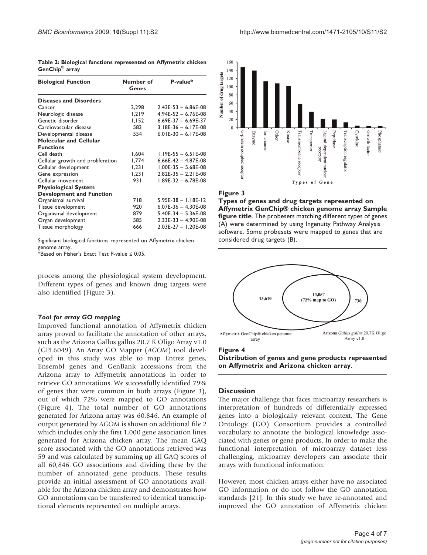| <b>Biological Function</b>        | Number of<br>Genes | P-value*                  |  |
|-----------------------------------|--------------------|---------------------------|--|
| <b>Diseases and Disorders</b>     |                    |                           |  |
| Cancer                            | 2,298              | $2.43E-53 - 6.86E-08$     |  |
| Neurologic disease                | 1,219              | $4.94E-52 - 6.76E-08$     |  |
| Genetic disorder                  | 1,152              | $6.69E-37 - 6.69E-37$     |  |
| Cardiovascular disease            | 583                | $3.18E-36 - 6.17E-08$     |  |
| Developmental disease             | 554                | $6.01F-30 - 6.17F-08$     |  |
| Molecular and Cellular            |                    |                           |  |
| <b>Functions</b>                  |                    |                           |  |
| Cell death                        | 1,604              | $1.19E - 55 - 6.51E - 08$ |  |
| Cellular growth and proliferation | 1,774              | $6.66E-42 - 4.87E-08$     |  |
| Cellular development              | 1.231              | $1.00E-35 - 5.68E-08$     |  |
| Gene expression                   | 1.231              | $2.82E-35 - 2.21E-08$     |  |
| Cellular movement                 | 931                | $1.89E-32 - 6.78E-08$     |  |
| <b>Physiological System</b>       |                    |                           |  |
| <b>Development and Function</b>   |                    |                           |  |
| Organismal survival               | 718                | $5.95E-38 - 1.18E-12$     |  |
| Tissue development                | 920                | $6.07E-36 - 4.30E-08$     |  |
| Organismal development            | 879                | $5.40E-34 - 5.36E-08$     |  |
| Organ development                 | 585                | $2.33E-33 - 4.90E-08$     |  |
| Tissue morphology                 | 666                | $2.03E-27 - 1.20E-08$     |  |

<span id="page-3-0"></span>Table 2: Biological functions represented on Affymetrix chicken GenChip® array

Significant biological functions represented on Affymetrix chicken genome array.

\*Based on Fisher's Exact Test P-value ≤ 0.05.

process among the physiological system development. Different types of genes and known drug targets were also identified (Figure 3).

#### Tool for array GO mapping

Improved functional annotation of Affymetrix chicken array proved to facilitate the annotation of other arrays, such as the Arizona Gallus gallus 20.7 K Oligo Array v1.0 (GPL6049). An Array GO Mapper (AGOM) tool developed in this study was able to map Entrez genes, Ensembl genes and GenBank accessions from the Arizona array to Affymetrix annotations in order to retrieve GO annotations. We successfully identified 79% of genes that were common in both arrays (Figure 3), out of which 72% were mapped to GO annotations (Figure 4). The total number of GO annotations generated for Arizona array was 60,846. An example of output generated by AGOM is shown on additional file 2 which includes only the first 1,000 gene association lines generated for Arizona chicken array. The mean GAQ score associated with the GO annotations retrieved was 59 and was calculated by summing up all GAQ scores of all 60,846 GO associations and dividing these by the number of annotated gene products. These results provide an initial assessment of GO annotations available for the Arizona chicken array and demonstrates how GO annotations can be transferred to identical transcriptional elements represented on multiple arrays.





Types of genes and drug targets represented on Affymetrix GenChip® chicken genome array Sample figure title. The probesets matching different types of genes (A) were determined by using Ingenuity Pathway Analysis software. Some probesets were mapped to genes that are considered drug targets (B).



#### Figure 4

Distribution of genes and gene products represented on Affymetrix and Arizona chicken array.

#### **Discussion**

The major challenge that faces microarray researchers is interpretation of hundreds of differentially expressed genes into a biologically relevant context. The Gene Ontology (GO) Consortium provides a controlled vocabulary to annotate the biological knowledge associated with genes or gene products. In order to make the functional interpretation of microarray dataset less challenging, microarray developers can associate their arrays with functional information.

However, most chicken arrays either have no associated GO information or do not follow the GO annotation standards [\[21](#page-6-0)]. In this study we have re-annotated and improved the GO annotation of Affymetrix chicken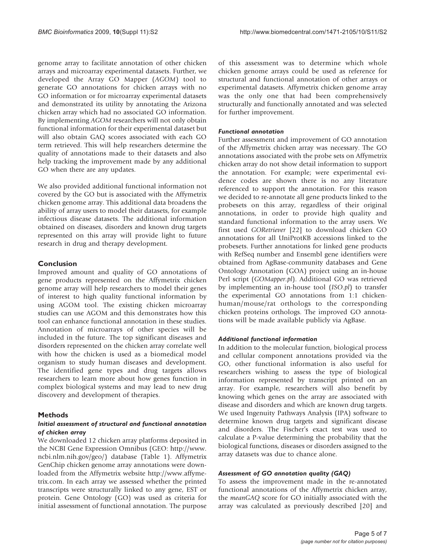genome array to facilitate annotation of other chicken arrays and microarray experimental datasets. Further, we developed the Array GO Mapper (AGOM) tool to generate GO annotations for chicken arrays with no GO information or for microarray experimental datasets and demonstrated its utility by annotating the Arizona chicken array which had no associated GO information. By implementing AGOM researchers will not only obtain functional information for their experimental dataset but will also obtain GAQ scores associated with each GO term retrieved. This will help researchers determine the quality of annotations made to their datasets and also help tracking the improvement made by any additional GO when there are any updates.

We also provided additional functional information not covered by the GO but is associated with the Affymetrix chicken genome array. This additional data broadens the ability of array users to model their datasets, for example infectious disease datasets. The additional information obtained on diseases, disorders and known drug targets represented on this array will provide light to future research in drug and therapy development.

#### Conclusion

Improved amount and quality of GO annotations of gene products represented on the Affymetrix chicken genome array will help researchers to model their genes of interest to high quality functional information by using AGOM tool. The existing chicken microarray studies can use AGOM and this demonstrates how this tool can enhance functional annotation in these studies. Annotation of microarrays of other species will be included in the future. The top significant diseases and disorders represented on the chicken array correlate well with how the chicken is used as a biomedical model organism to study human diseases and development. The identified gene types and drug targets allows researchers to learn more about how genes function in complex biological systems and may lead to new drug discovery and development of therapies.

#### Methods

#### Initial assessment of structural and functional annotation of chicken array

We downloaded 12 chicken array platforms deposited in the NCBI Gene Expression Omnibus (GEO: [http://www.](http://www.ncbi.nlm.nih.gov/geo/) [ncbi.nlm.nih.gov/geo/](http://www.ncbi.nlm.nih.gov/geo/)) database ([Table 1\)](#page-2-0). Affymetrix GenChip chicken genome array annotations were downloaded from the Affymetrix website [http://www.affyme](http://www.affymetrix.com)[trix.com](http://www.affymetrix.com). In each array we assessed whether the printed transcripts were structurally linked to any gene, EST or protein. Gene Ontology (GO) was used as criteria for initial assessment of functional annotation. The purpose of this assessment was to determine which whole chicken genome arrays could be used as reference for structural and functional annotation of other arrays or experimental datasets. Affymetrix chicken genome array was the only one that had been comprehensively structurally and functionally annotated and was selected for further improvement.

#### Functional annotation

Further assessment and improvement of GO annotation of the Affymetrix chicken array was necessary. The GO annotations associated with the probe sets on Affymetrix chicken array do not show detail information to support the annotation. For example; were experimental evidence codes are shown there is no any literature referenced to support the annotation. For this reason we decided to re-annotate all gene products linked to the probesets on this array, regardless of their original annotations, in order to provide high quality and standard functional information to the array users. We first used GORetriever [\[22](#page-6-0)] to download chicken GO annotations for all UniProtKB accessions linked to the probesets. Further annotations for linked gene products with RefSeq number and Ensembl gene identifiers were obtained from AgBase-community databases and Gene Ontology Annotation (GOA) project using an in-house Perl script (GOMapper.pl). Additional GO was retrieved by implementing an in-house tool (ISO.pl) to transfer the experimental GO annotations from 1:1 chickenhuman/mouse/rat orthologs to the corresponding chicken proteins orthologs. The improved GO annotations will be made available publicly via AgBase.

#### Additional functional information

In addition to the molecular function, biological process and cellular component annotations provided via the GO, other functional information is also useful for researchers wishing to assess the type of biological information represented by transcript printed on an array. For example, researchers will also benefit by knowing which genes on the array are associated with disease and disorders and which are known drug targets. We used Ingenuity Pathways Analysis (IPA) software to determine known drug targets and significant disease and disorders. The Fischer's exact test was used to calculate a P-value determining the probability that the biological functions, diseases or disorders assigned to the array datasets was due to chance alone.

#### Assessment of GO annotation quality (GAQ)

To assess the improvement made in the re-annotated functional annotations of the Affymetrix chicken array, the meanGAQ score for GO initially associated with the array was calculated as previously described [[20\]](#page-6-0) and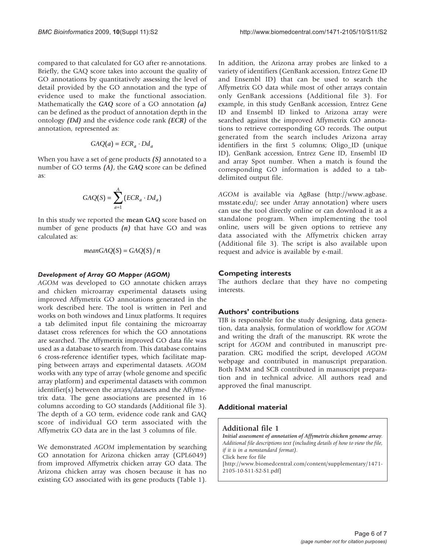<span id="page-5-0"></span>compared to that calculated for GO after re-annotations. Briefly, the GAQ score takes into account the quality of GO annotations by quantitatively assessing the level of detail provided by the GO annotation and the type of evidence used to make the functional association. Mathematically the GAQ score of a GO annotation (a) can be defined as the product of annotation depth in the ontology (Dd) and the evidence code rank (ECR) of the annotation, represented as:

$$
GAQ(a) = ECR_a \cdot Dd_a
$$

When you have a set of gene products (S) annotated to a number of GO terms (A), the GAQ score can be defined as:

$$
GAQ(S) = \sum_{a=1}^{A} (ECR_a \cdot Dd_a)
$$

In this study we reported the mean GAQ score based on number of gene products  $(n)$  that have GO and was calculated as:

$$
meanGAQ(S) = GAQ(S)/n
$$

#### Development of Array GO Mapper (AGOM)

AGOM was developed to GO annotate chicken arrays and chicken microarray experimental datasets using improved Affymetrix GO annotations generated in the work described here. The tool is written in Perl and works on both windows and Linux platforms. It requires a tab delimited input file containing the microarray dataset cross references for which the GO annotations are searched. The Affymetrix improved GO data file was used as a database to search from. This database contains 6 cross-reference identifier types, which facilitate mapping between arrays and experimental datasets. AGOM works with any type of array (whole genome and specific array platform) and experimental datasets with common identifier(s) between the arrays/datasets and the Affymetrix data. The gene associations are presented in 16 columns according to GO standards (Additional file 3). The depth of a GO term, evidence code rank and GAQ score of individual GO term associated with the Affymetrix GO data are in the last 3 columns of file.

We demonstrated AGOM implementation by searching GO annotation for Arizona chicken array (GPL6049) from improved Affymetrix chicken array GO data. The Arizona chicken array was chosen because it has no existing GO associated with its gene products ([Table 1\)](#page-2-0).

In addition, the Arizona array probes are linked to a variety of identifiers (GenBank accession, Entrez Gene ID and Ensembl ID) that can be used to search the Affymetrix GO data while most of other arrays contain only GenBank accessions (Additional file 3). For example, in this study GenBank accession, Entrez Gene ID and Ensembl ID linked to Arizona array were searched against the improved Affymetrix GO annotations to retrieve corresponding GO records. The output generated from the search includes Arizona array identifiers in the first 5 columns; Oligo\_ID (unique ID), GenBank accession, Entrez Gene ID, Ensembl ID and array Spot number. When a match is found the corresponding GO information is added to a tabdelimited output file.

AGOM is available via AgBase ([http://www.agbase.](http://www.agbase.msstate.edu/) [msstate.edu/](http://www.agbase.msstate.edu/); see under Array annotation) where users can use the tool directly online or can download it as a standalone program. When implementing the tool online, users will be given options to retrieve any data associated with the Affymetrix chicken array (Additional file 3). The script is also available upon request and advice is available by e-mail.

#### Competing interests

The authors declare that they have no competing interests.

#### Authors' contributions

TJB is responsible for the study designing, data generation, data analysis, formulation of workflow for AGOM and writing the draft of the manuscript. RK wrote the script for AGOM and contributed in manuscript preparation. CRG modified the script, developed AGOM webpage and contributed in manuscript preparation. Both FMM and SCB contributed in manuscript preparation and in technical advice. All authors read and approved the final manuscript.

#### Additional material

#### Additional file 1 Initial assessment of annotation of Affymetrix chicken genome array. Additional file descriptions text (including details of how to view the file, if it is in a nonstandard format). Click here for file [http://www.biomedcentral.com/content/supplementary/1471- 2105-10-S11-S2-S1.pdf]